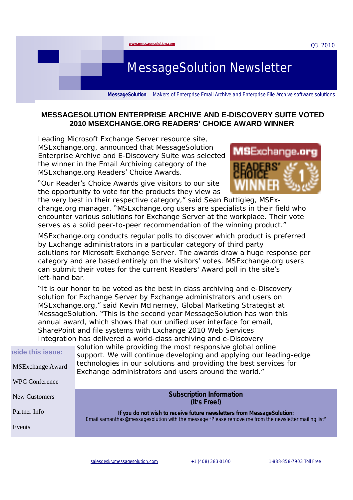Q3 2010

# MessageSolution Newsletter

**MessageSolution** — Makers of Enterprise Email Archive and Enterprise File Archive software solutions

#### **MESSAGESOLUTION ENTERPRISE ARCHIVE AND E-DISCOVERY SUITE VOTED 2010 MSEXCHANGE.ORG READERS' CHOICE AWARD WINNER**

Leading Microsoft Exchange Server resource site, MSExchange.org, announced that MessageSolution Enterprise Archive and E-Discovery Suite was selected the winner in the Email Archiving category of the MSExchange.org Readers' Choice Awards.

**[www.messagesolution.com](http://www.messagesolution.com)**

"Our Reader's Choice Awards give visitors to our site the opportunity to vote for the products they view as



the very best in their respective category," said Sean Buttigieg, MSExchange.org manager. "MSExchange.org users are specialists in their field who encounter various solutions for Exchange Server at the workplace. Their vote serves as a solid peer-to-peer recommendation of the winning product."

*MSExchange.org* conducts regular polls to discover which product is preferred by Exchange administrators in a particular category of third party solutions for Microsoft Exchange Server. The awards draw a huge response per category and are based entirely on the visitors' votes. MSExchange.org users can submit their votes for the current Readers' Award poll in the site's left-hand bar.

"It is our honor to be voted as the best in class archiving and e-Discovery solution for Exchange Server by Exchange administrators and users on MSExchange.org," said Kevin McInerney, Global Marketing Strategist at MessageSolution. "This is the second year MessageSolution has won this annual award, which shows that our unified user interface for email, SharePoint and file systems with Exchange 2010 Web Services Integration has delivered a world-class archiving and e-Discovery

| <b>nside this issue:</b><br><b>MSExchange Award</b> | solution while providing the most responsive global online<br>support. We will continue developing and applying our leading-edge<br>technologies in our solutions and providing the best services for<br>Exchange administrators and users around the world." |
|-----------------------------------------------------|---------------------------------------------------------------------------------------------------------------------------------------------------------------------------------------------------------------------------------------------------------------|
| <b>WPC Conference</b>                               |                                                                                                                                                                                                                                                               |
| New Customers                                       | <b>Subscription Information</b><br>(It's Free!)                                                                                                                                                                                                               |
| Partner Info                                        | If you do not wish to receive future newsletters from MessageSolution:                                                                                                                                                                                        |
| Events                                              | Email samanthas@messagesolution with the message "Please remove me from the newsletter mailing list"                                                                                                                                                          |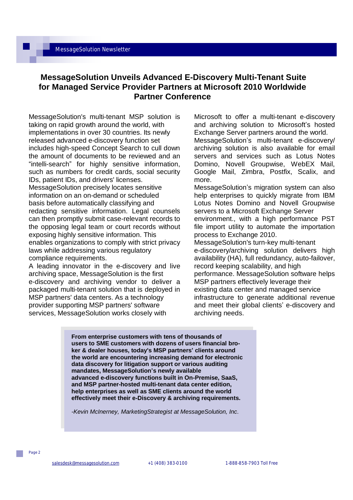### **MessageSolution Unveils Advanced E-Discovery Multi-Tenant Suite for Managed Service Provider Partners at Microsoft 2010 Worldwide Partner Conference**

MessageSolution's multi-tenant MSP solution is taking on rapid growth around the world, with implementations in over 30 countries. Its newly released advanced e-discovery function set includes high-speed Concept Search to cull down the amount of documents to be reviewed and an "intelli-search" for highly sensitive information, such as numbers for credit cards, social security IDs, patient IDs, and drivers' licenses. MessageSolution precisely locates sensitive information on an on-demand or scheduled basis before automatically classifying and redacting sensitive information. Legal counsels can then promptly submit case-relevant records to the opposing legal team or court records without exposing highly sensitive information. This enables organizations to comply with strict privacy laws while addressing various regulatory compliance requirements.

A leading innovator in the e-discovery and live archiving space, MessageSolution is the first e-discovery and archiving vendor to deliver a packaged multi-tenant solution that is deployed in MSP partners' data centers. As a technology provider supporting MSP partners' software services, MessageSolution works closely with

Microsoft to offer a multi-tenant e-discovery and archiving solution to Microsoft's hosted Exchange Server partners around the world.

MessageSolution's multi-tenant e-discovery/ archiving solution is also available for email servers and services such as Lotus Notes Domino, Novell Groupwise, WebEX Mail, Google Mail, Zimbra, Postfix, Scalix, and more.

MessageSolution's migration system can also help enterprises to quickly migrate from IBM Lotus Notes Domino and Novell Groupwise servers to a Microsoft Exchange Server environment., with a high performance PST file import utility to automate the importation process to Exchange 2010.

MessageSolution's turn-key multi-tenant e-discovery/archiving solution delivers high availability (HA), full redundancy, auto-failover, record keeping scalability, and high performance. MessageSolution software helps MSP partners effectively leverage their existing data center and managed service infrastructure to generate additional revenue and meet their global clients' e-discovery and archiving needs.

**From enterprise customers with tens of thousands of users to SME customers with dozens of users financial broker & dealer houses, today's MSP partners' clients around the world are encountering increasing demand for electronic data discovery for litigation support or various auditing mandates, MessageSolution's newly available advanced e-discovery functions built in On-Premise, SaaS, and MSP partner-hosted multi-tenant data center edition, help enterprises as well as SME clients around the world effectively meet their e-Discovery & archiving requirements.** 

*-Kevin McInerney, MarketingStrategist at MessageSolution, Inc*.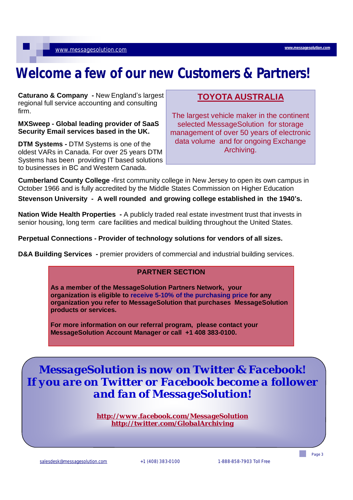[www.messagesolution.com](http://www.messagesolution.com)

# **Welcome a few of our new Customers & Partners!**

**Caturano & Company -** New England's largest regional full service accounting and consulting firm.

**MXSweep - Global leading provider of SaaS Security Email services based in the UK.** 

**DTM Systems -** DTM Systems is one of the oldest VARs in Canada. For over 25 years DTM Systems has been providing IT based solutions to businesses in BC and Western Canada.

# **TOYOTA AUSTRALIA**

The largest vehicle maker in the continent selected MessageSolution for storage management of over 50 years of electronic data volume and for ongoing Exchange Archiving.

**Cumberland County College -**first community college in New Jersey to open its own campus in October 1966 and is fully accredited by the Middle States Commission on Higher Education

**Stevenson University - A well rounded and growing college established in the 1940's.** 

**Nation Wide Health Properties -** A publicly traded real estate investment trust that invests in senior housing, long term care facilities and medical building throughout the United States.

**Perpetual Connections - Provider of technology solutions for vendors of all sizes.** 

**D&A** Building Services - premier providers of commercial and industrial building services.

#### **PARTNER SECTION**

**As a member of the MessageSolution Partners Network, your organization is eligible to receive 5-10% of the purchasing price for any organization you refer to MessageSolution that purchases MessageSolution products or services.** 

**For more information on our referral program, please contact your MessageSolution Account Manager or call +1 408 383-0100.** 

*MessageSolution is now on Twitter & Facebook! If you are on Twitter or Facebook become a follower and fan of MessageSolution!* 

> *<http://www.facebook.com/MessageSolution> <http://twitter.com/GlobalArchiving>*

[salesdesk@messagesolution.com](mailto:salesdesk@messagesolution.com) +1 (408) 383-0100 1-888-858-7903 Toll Free

Page 3